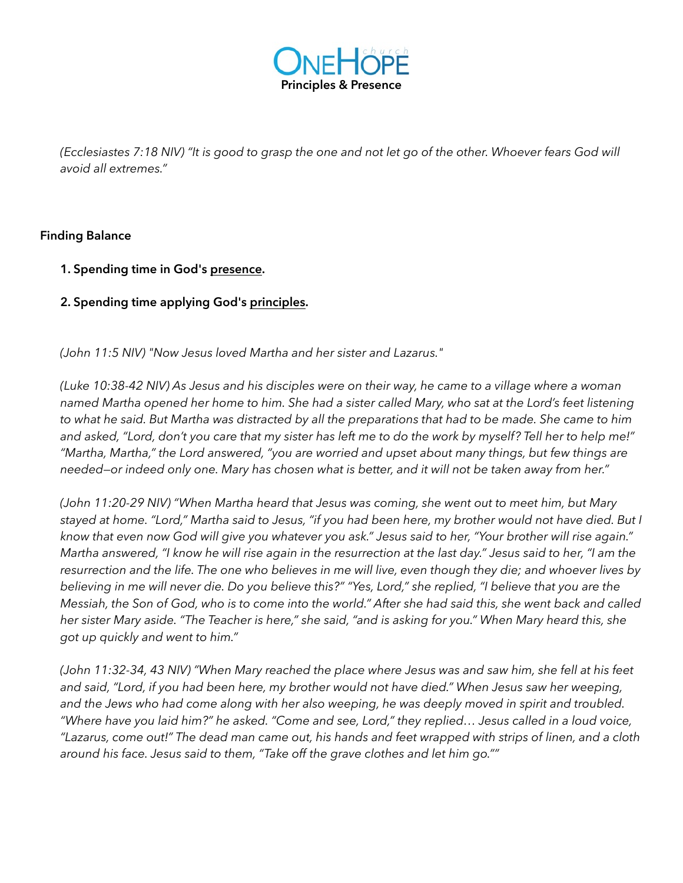

*(Ecclesiastes 7:18 NIV) "It is good to grasp the one and not let go of the other. Whoever fears God will avoid all extremes."* 

# **Finding Balance**

- **1. Spending time in God's presence.**
- **2. Spending time applying God's principles.**

*(John 11:5 NIV) "Now Jesus loved Martha and her sister and Lazarus."* 

*(Luke 10:38-42 NIV) As Jesus and his disciples were on their way, he came to a village where a woman named Martha opened her home to him. She had a sister called Mary, who sat at the Lord's feet listening to what he said. But Martha was distracted by all the preparations that had to be made. She came to him and asked, "Lord, don't you care that my sister has left me to do the work by myself? Tell her to help me!" "Martha, Martha," the Lord answered, "you are worried and upset about many things, but few things are needed—or indeed only one. Mary has chosen what is better, and it will not be taken away from her."*

*(John 11:20-29 NIV) "When Martha heard that Jesus was coming, she went out to meet him, but Mary stayed at home. "Lord," Martha said to Jesus, "if you had been here, my brother would not have died. But I know that even now God will give you whatever you ask." Jesus said to her, "Your brother will rise again." Martha answered, "I know he will rise again in the resurrection at the last day." Jesus said to her, "I am the resurrection and the life. The one who believes in me will live, even though they die; and whoever lives by believing in me will never die. Do you believe this?" "Yes, Lord," she replied, "I believe that you are the Messiah, the Son of God, who is to come into the world." After she had said this, she went back and called her sister Mary aside. "The Teacher is here," she said, "and is asking for you." When Mary heard this, she got up quickly and went to him."*

*(John 11:32-34, 43 NIV) "When Mary reached the place where Jesus was and saw him, she fell at his feet and said, "Lord, if you had been here, my brother would not have died." When Jesus saw her weeping, and the Jews who had come along with her also weeping, he was deeply moved in spirit and troubled. "Where have you laid him?" he asked. "Come and see, Lord," they replied… Jesus called in a loud voice, "Lazarus, come out!" The dead man came out, his hands and feet wrapped with strips of linen, and a cloth around his face. Jesus said to them, "Take off the grave clothes and let him go.""*